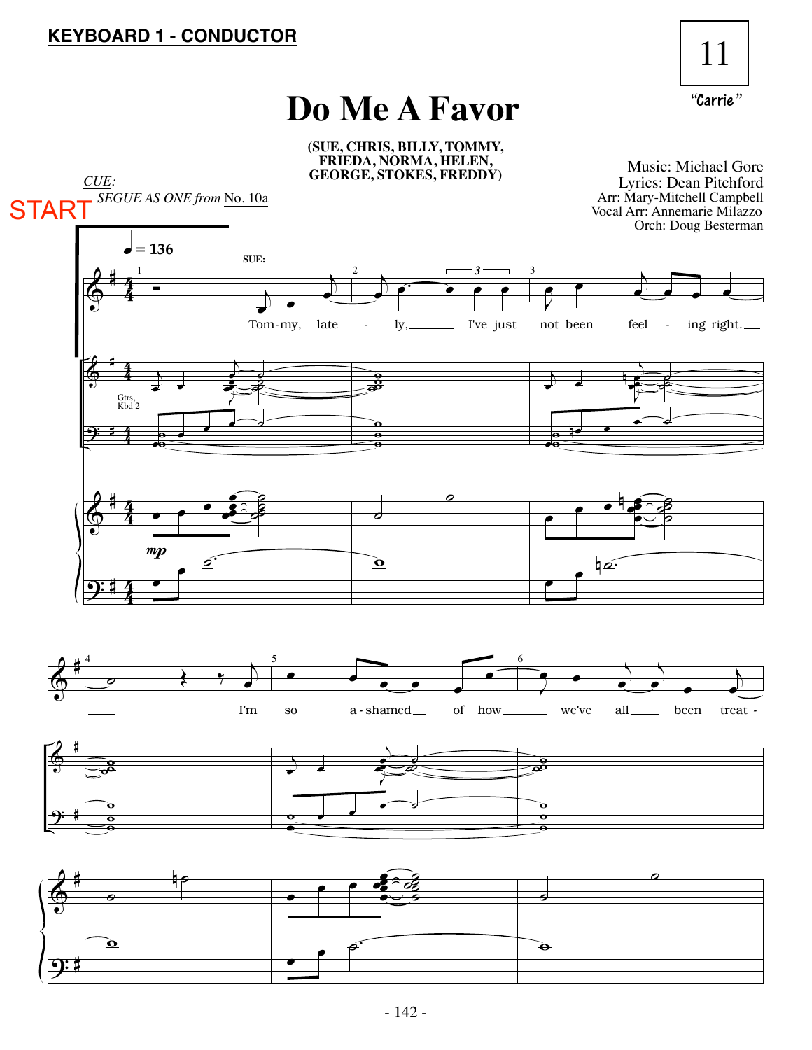

## **Do Me A Favor**

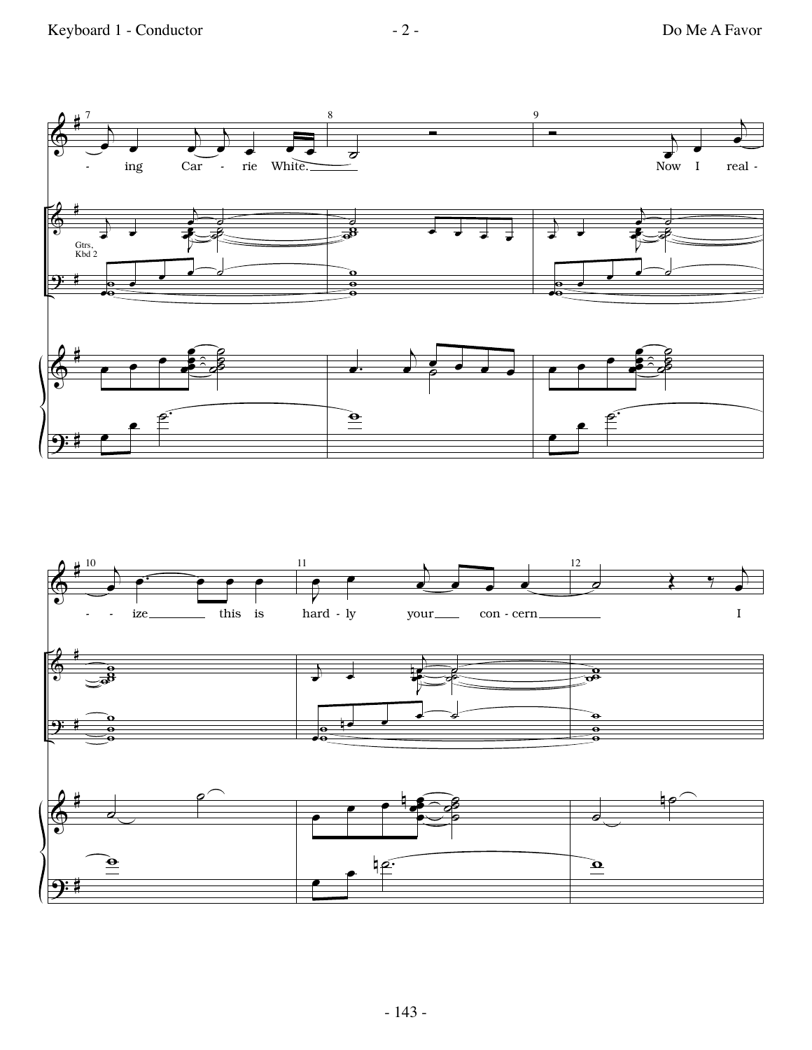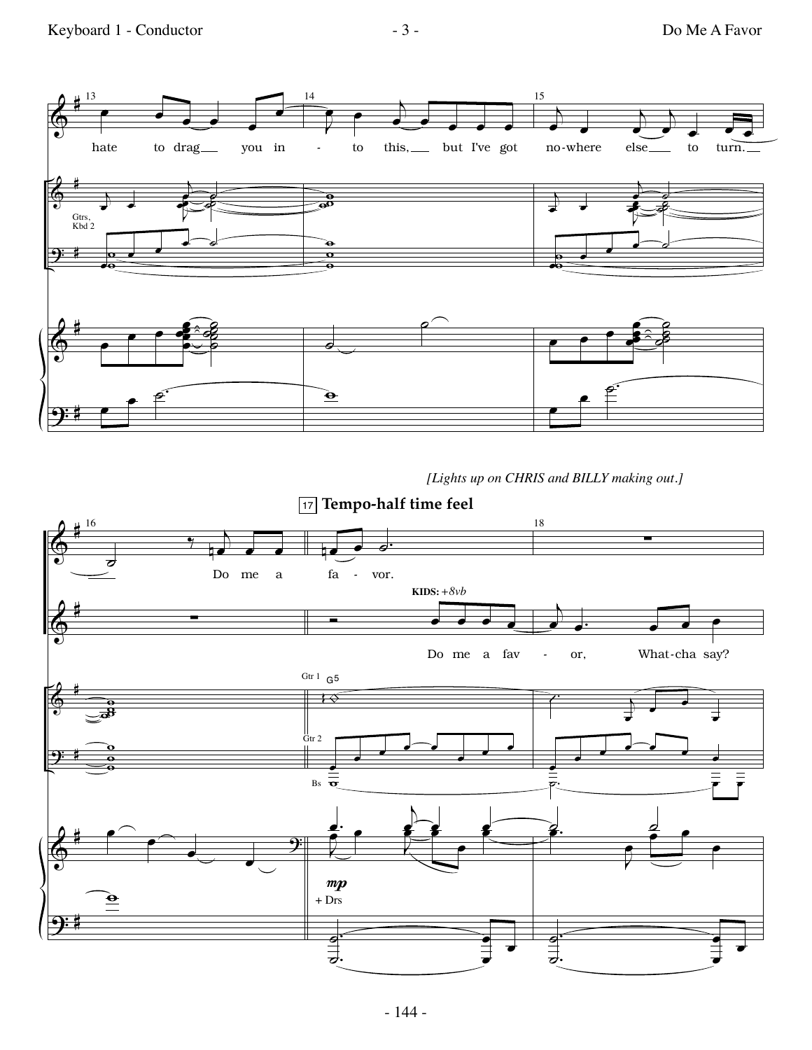

*[Lights up on CHRIS and BILLY making out.]*